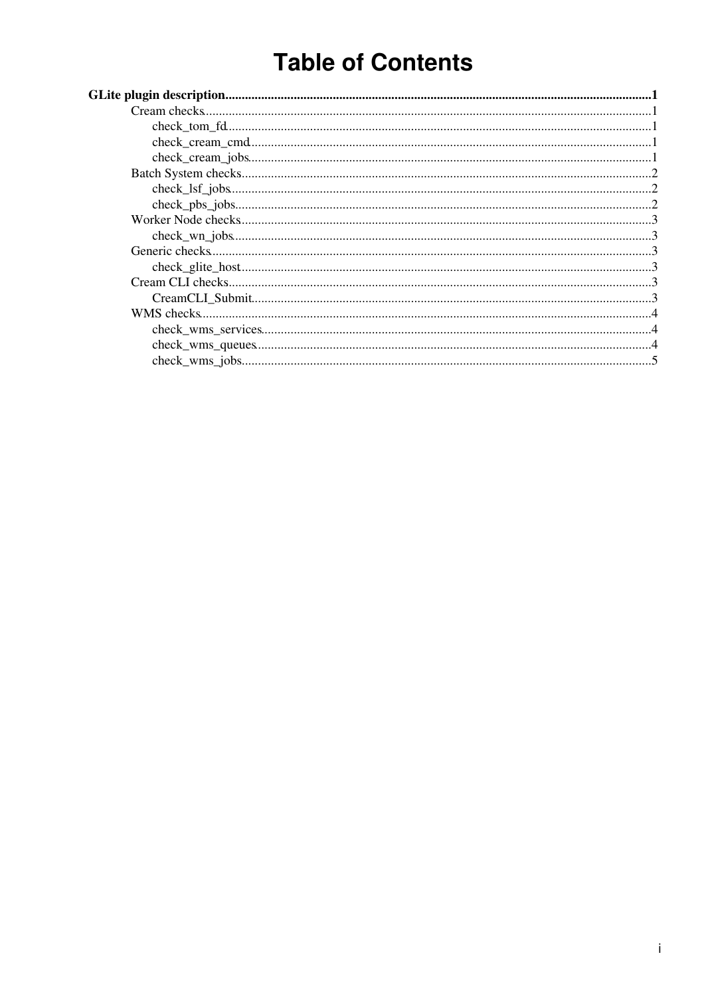# **Table of Contents**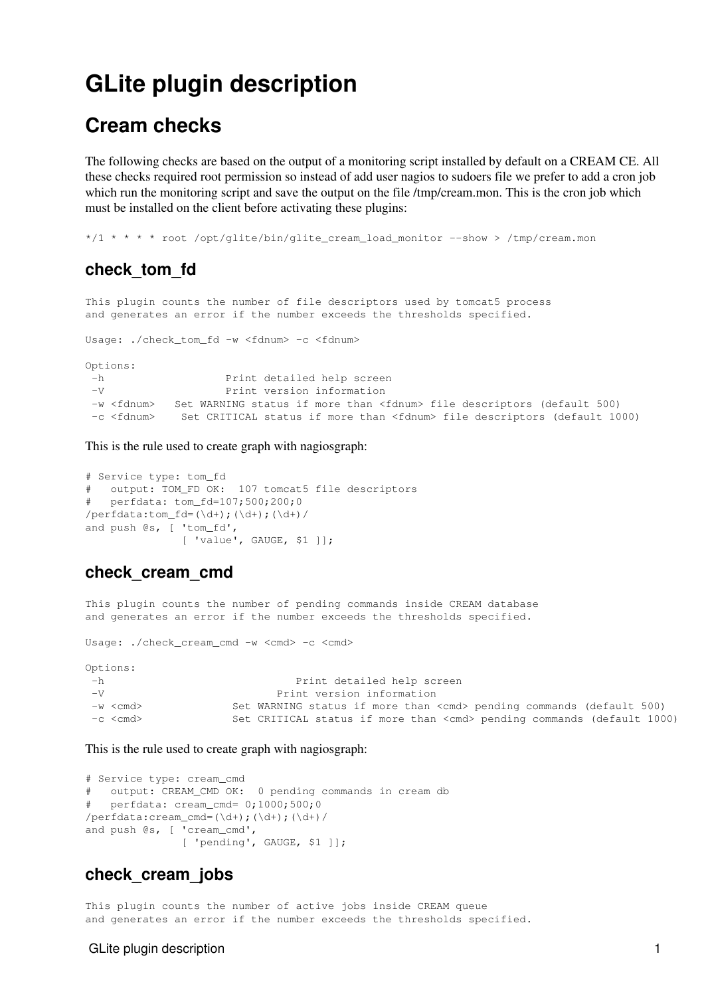## <span id="page-1-0"></span>**GLite plugin description**

### <span id="page-1-1"></span>**Cream checks**

The following checks are based on the output of a monitoring script installed by default on a CREAM CE. All these checks required root permission so instead of add user nagios to sudoers file we prefer to add a cron job which run the monitoring script and save the output on the file /tmp/cream.mon. This is the cron job which must be installed on the client before activating these plugins:

\*/1 \* \* \* \* root /opt/glite/bin/glite\_cream\_load\_monitor --show > /tmp/cream.mon

#### <span id="page-1-2"></span>**check\_tom\_fd**

This plugin counts the number of file descriptors used by tomcat5 process and generates an error if the number exceeds the thresholds specified.

Usage: ./check\_tom\_fd -w <fdnum> -c <fdnum>

Options: -h Print detailed help screen -V Print version information -w <fdnum> Set WARNING status if more than <fdnum> file descriptors (default 500) -c <fdnum> Set CRITICAL status if more than <fdnum> file descriptors (default 1000)

This is the rule used to create graph with nagiosgraph:

```
# Service type: tom_fd
# output: TOM_FD OK: 107 tomcat5 file descriptors
# perfdata: tom_fd=107;500;200;0
/perfdata:tom fd=(\ddot{d});(\ddot{d}+);(\ddot{d}+)/
and push @s, [ 'tom_fd',
                [ 'value', GAUGE, $1 ]];
```
#### <span id="page-1-3"></span>**check\_cream\_cmd**

This plugin counts the number of pending commands inside CREAM database and generates an error if the number exceeds the thresholds specified.

Usage: ./check\_cream\_cmd -w <cmd> -c <cmd>

| Options:          |                                                                              |
|-------------------|------------------------------------------------------------------------------|
| — h               | Print detailed help screen                                                   |
| $-V$              | Print version information                                                    |
| $-w <$ $<$ $cmd>$ | Set WARNING status if more than <cmd> pending commands (default 500)</cmd>   |
| $-c <$ $<$ $cmd>$ | Set CRITICAL status if more than <cmd> pending commands (default 1000)</cmd> |

This is the rule used to create graph with nagiosgraph:

```
# Service type: cream_cmd
# output: CREAM_CMD OK: 0 pending commands in cream db
# perfdata: cream_cmd= 0;1000;500;0
/perfdata:cream_cmd=(\dagger)^{\ddagger};(\dagger)^{\ddagger}and push @s, [ 'cream_cmd',
                [ 'pending', GAUGE, $1 ]];
```
#### <span id="page-1-4"></span>**check\_cream\_jobs**

This plugin counts the number of active jobs inside CREAM queue and generates an error if the number exceeds the thresholds specified.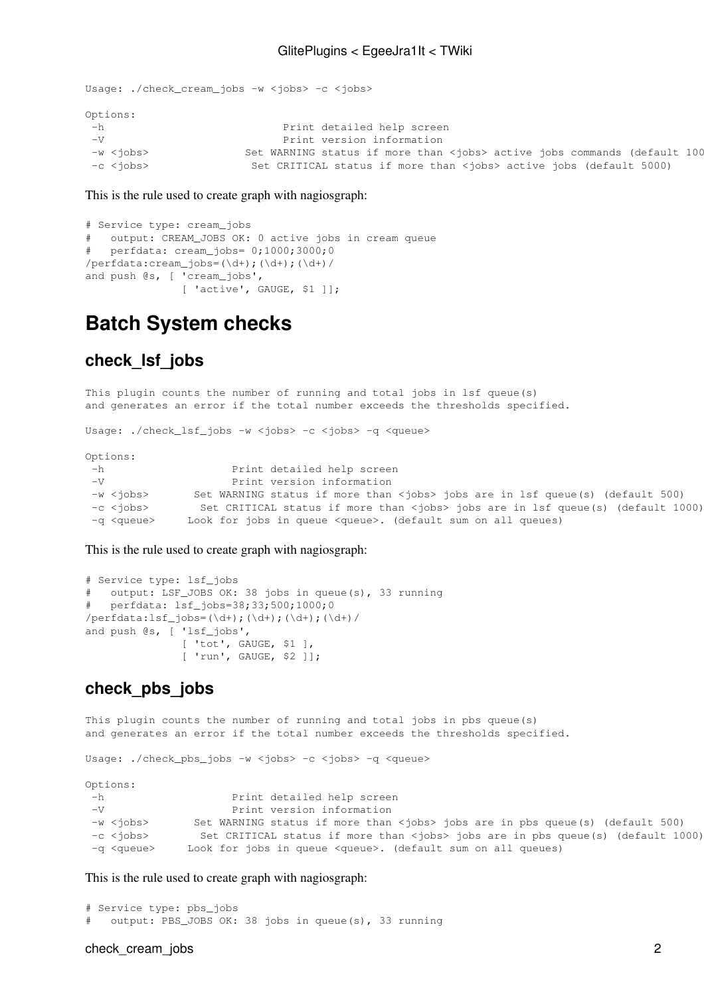```
Usage: ./check_cream_jobs -w <jobs> -c <jobs>
Options:
 -h Print detailed help screen
 -V Print version information
 -w <jobs> Set WARNING status if more than <jobs> active jobs commands (default 1000)
 -c <jobs> Set CRITICAL status if more than <jobs> active jobs (default 5000)
```
This is the rule used to create graph with nagiosgraph:

```
# Service type: cream_jobs
# output: CREAM_JOBS OK: 0 active jobs in cream queue 
# perfdata: cream_jobs= 0;1000;3000;0
/perfdata:cream_jobs=(\d+);(\d+);(\d+);and push @s, [ 'cream_jobs',
               [ 'active', GAUGE, $1 ]];
```
### <span id="page-2-0"></span>**Batch System checks**

#### <span id="page-2-1"></span>**check\_lsf\_jobs**

This plugin counts the number of running and total jobs in lsf queue(s) and generates an error if the total number exceeds the thresholds specified.

Usage: ./check\_lsf\_jobs -w <jobs> -c <jobs> -q <queue>

Options:

| – h                | Print detailed help screen                                                             |
|--------------------|----------------------------------------------------------------------------------------|
| $-V$               | Print version information                                                              |
| -w <iobs></iobs>   | Set WARNING status if more than <jobs> jobs are in 1sf queue(s) (default 500)</jobs>   |
| -c <iobs></iobs>   | Set CRITICAL status if more than <jobs> jobs are in 1sf queue(s) (default 1000)</jobs> |
| -q <queue></queue> | Look for jobs in queue <queue>. (default sum on all queues)</queue>                    |

This is the rule used to create graph with nagiosgraph:

```
# Service type: lsf_jobs
# output: LSF_JOBS OK: 38 jobs in queue(s), 33 running
# perfdata: lsf_jobs=38;33;500;1000;0
/perfdata:lsf_jobs=(\d+);(\d+);(\d+);(\d+)/
and push @s, [ 'lsf_jobs',
 [ 'tot', GAUGE, $1 ],
 [ 'run', GAUGE, $2 ]];
```
#### <span id="page-2-2"></span>**check\_pbs\_jobs**

This plugin counts the number of running and total jobs in pbs queue(s) and generates an error if the total number exceeds the thresholds specified.

Usage: ./check\_pbs\_jobs -w <jobs> -c <jobs> -q <queue>

Options:

| – h                | Print detailed help screen                                                             |
|--------------------|----------------------------------------------------------------------------------------|
| $-V$               | Print version information                                                              |
| -w <iobs></iobs>   | Set WARNING status if more than <jobs> jobs are in pbs queue(s) (default 500)</jobs>   |
| -c <iobs></iobs>   | Set CRITICAL status if more than <jobs> jobs are in pbs queue(s) (default 1000)</jobs> |
| -a <aueue></aueue> | Look for jobs in queue <queue>. (default sum on all queues)</queue>                    |

This is the rule used to create graph with nagiosgraph:

```
# Service type: pbs_jobs
# output: PBS_JOBS OK: 38 jobs in queue(s), 33 running
```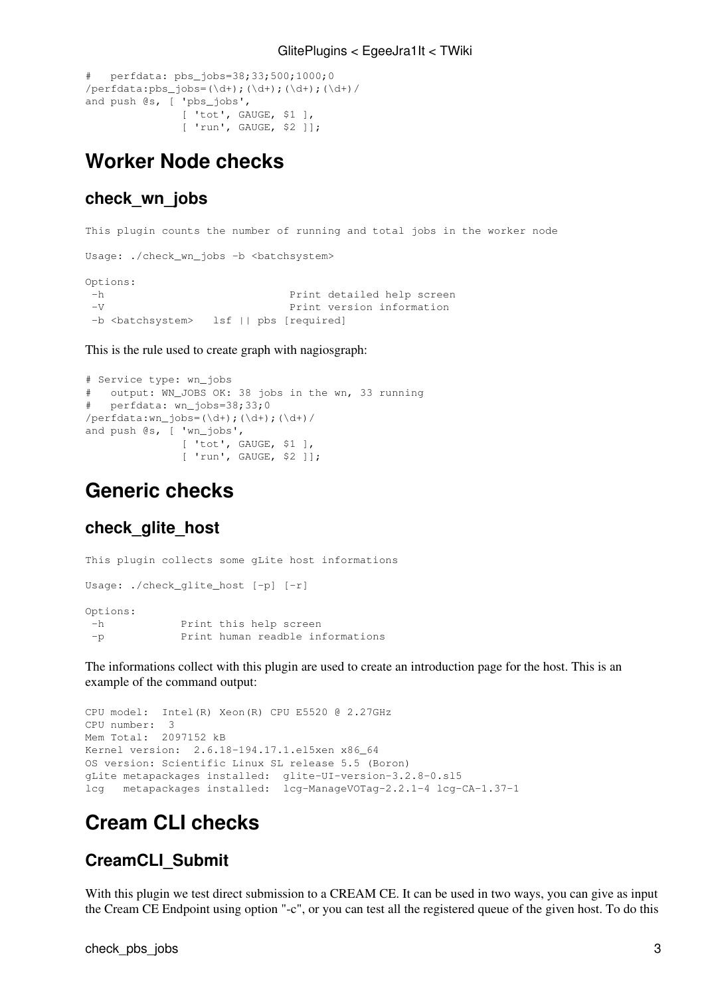```
# perfdata: pbs_jobs=38;33;500;1000;0
/perfdata:pbs_jobs=(\d+);(\d+);(\d+);(\d+)/
and push @s, [ 'pbs_jobs',
                [ 'tot', GAUGE, $1 ],
               [ 'run', GAUGE, $2 ]];
```
### <span id="page-3-0"></span>**Worker Node checks**

#### <span id="page-3-1"></span>**check\_wn\_jobs**

This plugin counts the number of running and total jobs in the worker node Usage: ./check\_wn\_jobs -b <br/>batchsystem> Options: -h Print detailed help screen<br>-V Print version information Print version information -b <br />batchsystem> lsf || pbs [required]

This is the rule used to create graph with nagiosgraph:

```
# Service type: wn_jobs
# output: WN_JOBS OK: 38 jobs in the wn, 33 running
# perfdata: wn_jobs=38;33;0
/perfdata:wn_jobs=(\d+);(\d+);(\d+)/
and push @s, [ 'wn_jobs',
                [ 'tot', GAUGE, $1 ],
               [ 'run', GAUGE, $2 ]];
```
### <span id="page-3-2"></span>**Generic checks**

#### <span id="page-3-3"></span>**check\_glite\_host**

This plugin collects some gLite host informations Usage: ./check\_glite\_host [-p] [-r] Options: -h Print this help screen -p Print human readble informations

The informations collect with this plugin are used to create an introduction page for the host. This is an example of the command output:

```
CPU model: Intel(R) Xeon(R) CPU E5520 @ 2.27GHz
CPU number: 3
Mem Total: 2097152 kB
Kernel version: 2.6.18-194.17.1.el5xen x86_64
OS version: Scientific Linux SL release 5.5 (Boron)
gLite metapackages installed: glite-UI-version-3.2.8-0.sl5
lcg metapackages installed: lcg-ManageVOTag-2.2.1-4 lcg-CA-1.37-1
```
### <span id="page-3-4"></span>**Cream CLI checks**

### <span id="page-3-5"></span>**CreamCLI\_Submit**

With this plugin we test direct submission to a CREAM CE. It can be used in two ways, you can give as input the Cream CE Endpoint using option "-c", or you can test all the registered queue of the given host. To do this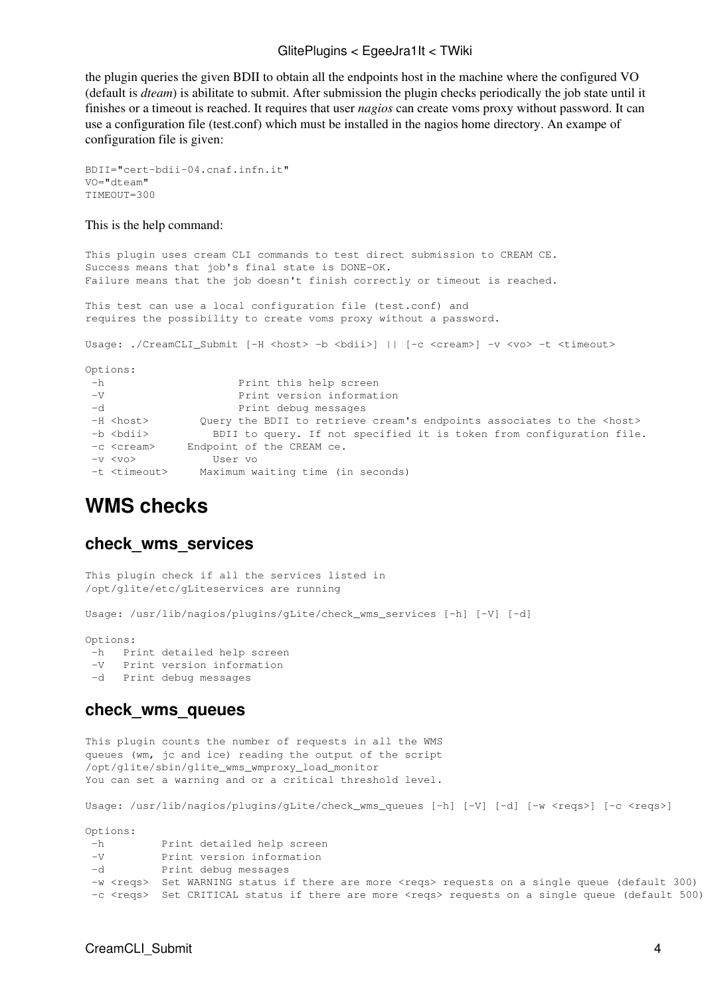#### GlitePlugins < EgeeJra1It < TWiki

the plugin queries the given BDII to obtain all the endpoints host in the machine where the configured VO (default is *dteam*) is abilitate to submit. After submission the plugin checks periodically the job state until it finishes or a timeout is reached. It requires that user *nagios* can create voms proxy without password. It can use a configuration file (test.conf) which must be installed in the nagios home directory. An exampe of configuration file is given:

```
BDII="cert-bdii-04.cnaf.infn.it"
VO="dteam"
TIMEOUT=300
```
This is the help command:

This plugin uses cream CLI commands to test direct submission to CREAM CE. Success means that job's final state is DONE-OK. Failure means that the job doesn't finish correctly or timeout is reached. This test can use a local configuration file (test.conf) and requires the possibility to create voms proxy without a password. Usage: ./CreamCLI\_Submit [-H <host> -b <br/> <br/> <br/> <br/>| [-c <cream>] -v <vo> -t <timeout> Options: -h Print this help screen -V Print version information -d Print debug messages -H <host> Query the BDII to retrieve cream's endpoints associates to the <host><br>
ab <br/>
cholips and the query of not specified it is taken from configuration file  $\overline{\phantom{a}}$  BDII to query. If not specified it is token from configuration file.

| -n znatiz          |  | ppii to daely. It not specifie |  |
|--------------------|--|--------------------------------|--|
| -c <cream></cream> |  | Endpoint of the CREAM ce.      |  |

```
 -v <vo> User vo
```

```
 -t <timeout> Maximum waiting time (in seconds)
```
### <span id="page-4-0"></span>**WMS checks**

#### <span id="page-4-1"></span>**check\_wms\_services**

```
This plugin check if all the services listed in 
/opt/glite/etc/gLiteservices are running
```

```
Usage: /usr/lib/nagios/plugins/gLite/check_wms_services [-h] [-V] [-d]
```
Options:

```
 -h Print detailed help screen
```

```
 -V Print version information
```
-d Print debug messages

#### <span id="page-4-2"></span>**check\_wms\_queues**

This plugin counts the number of requests in all the WMS queues (wm, jc and ice) reading the output of the script /opt/glite/sbin/glite\_wms\_wmproxy\_load\_monitor You can set a warning and or a critical threshold level.

Usage: /usr/lib/nagios/plugins/gLite/check\_wms\_queues [-h] [-V] [-d] [-w <reqs>] [-c <reqs>]

Options:

| -h   | Print detailed help screen                                                                                    |
|------|---------------------------------------------------------------------------------------------------------------|
| $-V$ | Print version information                                                                                     |
| $-d$ | Print debug messages                                                                                          |
|      | -w <regs> Set WARNING status if there are more <regs> requests on a single queue (default 300)</regs></regs>  |
|      | -c <reqs> Set CRITICAL status if there are more <reqs> requests on a single queue (default 500)</reqs></reqs> |